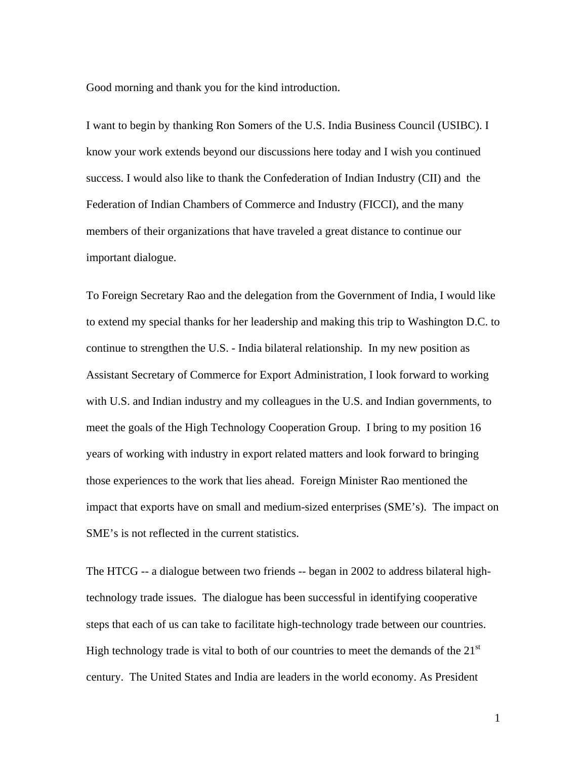Good morning and thank you for the kind introduction.

I want to begin by thanking Ron Somers of the U.S. India Business Council (USIBC). I know your work extends beyond our discussions here today and I wish you continued success. I would also like to thank the Confederation of Indian Industry (CII) and the Federation of Indian Chambers of Commerce and Industry (FICCI), and the many members of their organizations that have traveled a great distance to continue our important dialogue.

To Foreign Secretary Rao and the delegation from the Government of India, I would like to extend my special thanks for her leadership and making this trip to Washington D.C. to continue to strengthen the U.S. - India bilateral relationship. In my new position as Assistant Secretary of Commerce for Export Administration, I look forward to working with U.S. and Indian industry and my colleagues in the U.S. and Indian governments, to meet the goals of the High Technology Cooperation Group. I bring to my position 16 years of working with industry in export related matters and look forward to bringing those experiences to the work that lies ahead. Foreign Minister Rao mentioned the impact that exports have on small and medium-sized enterprises (SME's). The impact on SME's is not reflected in the current statistics.

The HTCG -- a dialogue between two friends -- began in 2002 to address bilateral hightechnology trade issues. The dialogue has been successful in identifying cooperative steps that each of us can take to facilitate high-technology trade between our countries. High technology trade is vital to both of our countries to meet the demands of the  $21<sup>st</sup>$ century. The United States and India are leaders in the world economy. As President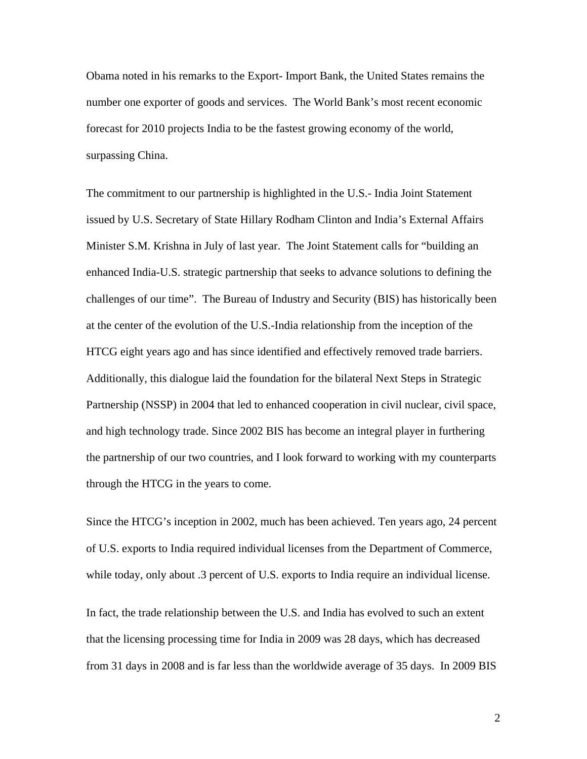Obama noted in his remarks to the Export- Import Bank, the United States remains the number one exporter of goods and services. The World Bank's most recent economic forecast for 2010 projects India to be the fastest growing economy of the world, surpassing China.

The commitment to our partnership is highlighted in the U.S.- India Joint Statement issued by U.S. Secretary of State Hillary Rodham Clinton and India's External Affairs Minister S.M. Krishna in July of last year. The Joint Statement calls for "building an enhanced India-U.S. strategic partnership that seeks to advance solutions to defining the challenges of our time". The Bureau of Industry and Security (BIS) has historically been at the center of the evolution of the U.S.-India relationship from the inception of the HTCG eight years ago and has since identified and effectively removed trade barriers. Additionally, this dialogue laid the foundation for the bilateral Next Steps in Strategic Partnership (NSSP) in 2004 that led to enhanced cooperation in civil nuclear, civil space, and high technology trade. Since 2002 BIS has become an integral player in furthering the partnership of our two countries, and I look forward to working with my counterparts through the HTCG in the years to come.

Since the HTCG's inception in 2002, much has been achieved. Ten years ago, 24 percent of U.S. exports to India required individual licenses from the Department of Commerce, while today, only about .3 percent of U.S. exports to India require an individual license.

In fact, the trade relationship between the U.S. and India has evolved to such an extent that the licensing processing time for India in 2009 was 28 days, which has decreased from 31 days in 2008 and is far less than the worldwide average of 35 days. In 2009 BIS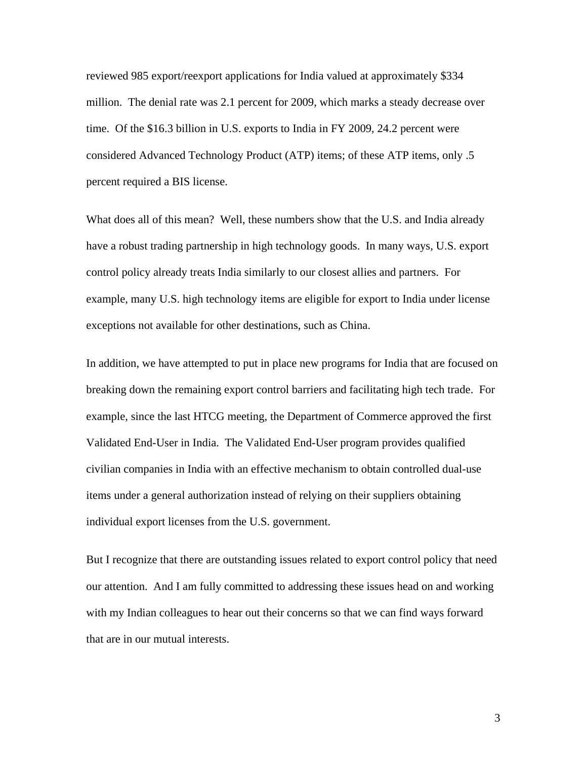reviewed 985 export/reexport applications for India valued at approximately \$334 million. The denial rate was 2.1 percent for 2009, which marks a steady decrease over time. Of the \$16.3 billion in U.S. exports to India in FY 2009, 24.2 percent were considered Advanced Technology Product (ATP) items; of these ATP items, only .5 percent required a BIS license.

What does all of this mean? Well, these numbers show that the U.S. and India already have a robust trading partnership in high technology goods. In many ways, U.S. export control policy already treats India similarly to our closest allies and partners. For example, many U.S. high technology items are eligible for export to India under license exceptions not available for other destinations, such as China.

In addition, we have attempted to put in place new programs for India that are focused on breaking down the remaining export control barriers and facilitating high tech trade. For example, since the last HTCG meeting, the Department of Commerce approved the first Validated End-User in India. The Validated End-User program provides qualified civilian companies in India with an effective mechanism to obtain controlled dual-use items under a general authorization instead of relying on their suppliers obtaining individual export licenses from the U.S. government.

But I recognize that there are outstanding issues related to export control policy that need our attention. And I am fully committed to addressing these issues head on and working with my Indian colleagues to hear out their concerns so that we can find ways forward that are in our mutual interests.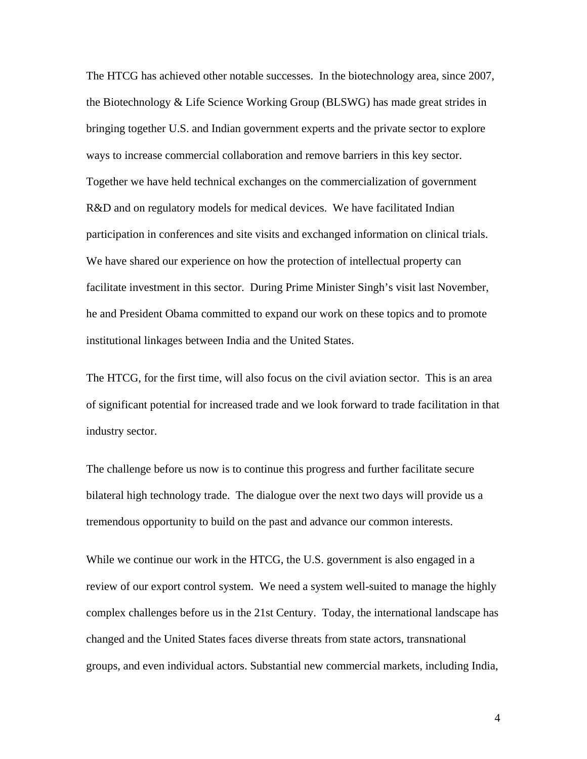The HTCG has achieved other notable successes. In the biotechnology area, since 2007, the Biotechnology & Life Science Working Group (BLSWG) has made great strides in bringing together U.S. and Indian government experts and the private sector to explore ways to increase commercial collaboration and remove barriers in this key sector. Together we have held technical exchanges on the commercialization of government R&D and on regulatory models for medical devices. We have facilitated Indian participation in conferences and site visits and exchanged information on clinical trials. We have shared our experience on how the protection of intellectual property can facilitate investment in this sector. During Prime Minister Singh's visit last November, he and President Obama committed to expand our work on these topics and to promote institutional linkages between India and the United States.

The HTCG, for the first time, will also focus on the civil aviation sector. This is an area of significant potential for increased trade and we look forward to trade facilitation in that industry sector.

The challenge before us now is to continue this progress and further facilitate secure bilateral high technology trade. The dialogue over the next two days will provide us a tremendous opportunity to build on the past and advance our common interests.

While we continue our work in the HTCG, the U.S. government is also engaged in a review of our export control system. We need a system well-suited to manage the highly complex challenges before us in the 21st Century. Today, the international landscape has changed and the United States faces diverse threats from state actors, transnational groups, and even individual actors. Substantial new commercial markets, including India,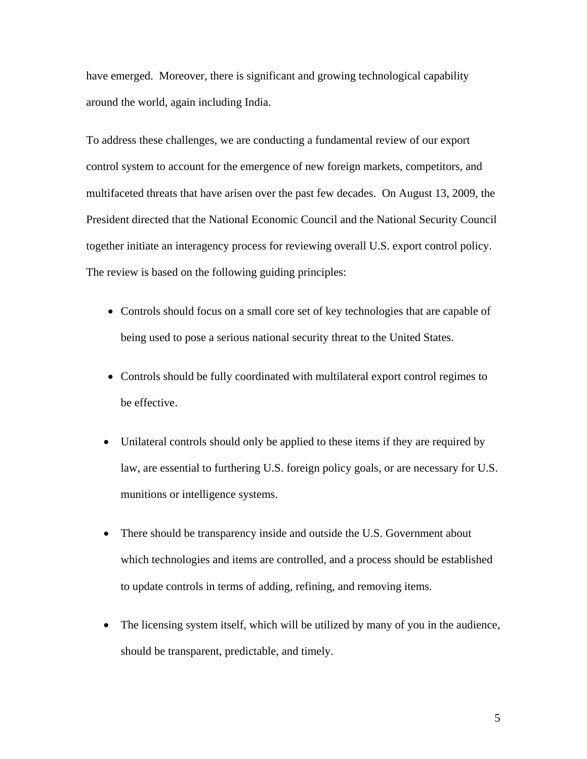have emerged. Moreover, there is significant and growing technological capability around the world, again including India.

To address these challenges, we are conducting a fundamental review of our export control system to account for the emergence of new foreign markets, competitors, and multifaceted threats that have arisen over the past few decades. On August 13, 2009, the President directed that the National Economic Council and the National Security Council together initiate an interagency process for reviewing overall U.S. export control policy. The review is based on the following guiding principles:

- Controls should focus on a small core set of key technologies that are capable of being used to pose a serious national security threat to the United States.
- Controls should be fully coordinated with multilateral export control regimes to be effective.
- Unilateral controls should only be applied to these items if they are required by law, are essential to furthering U.S. foreign policy goals, or are necessary for U.S. munitions or intelligence systems.
- There should be transparency inside and outside the U.S. Government about which technologies and items are controlled, and a process should be established to update controls in terms of adding, refining, and removing items.
- The licensing system itself, which will be utilized by many of you in the audience, should be transparent, predictable, and timely.